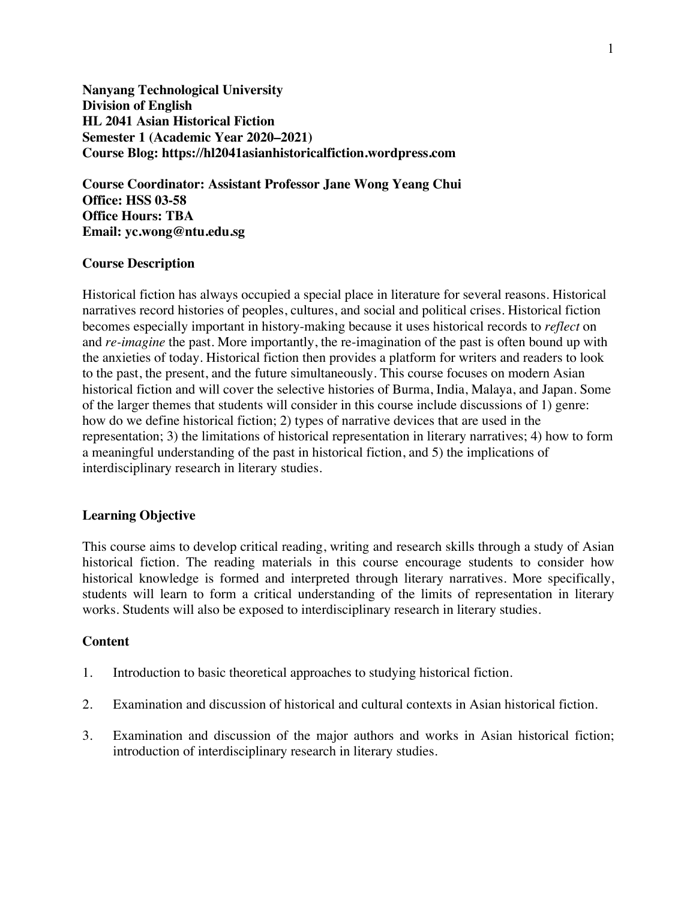**Nanyang Technological University Division of English HL 2041 Asian Historical Fiction Semester 1 (Academic Year 2020–2021) Course Blog: https://hl2041asianhistoricalfiction.wordpress.com**

**Course Coordinator: Assistant Professor Jane Wong Yeang Chui Office: HSS 03-58 Office Hours: TBA Email: yc.wong@ntu.edu.sg**

### **Course Description**

Historical fiction has always occupied a special place in literature for several reasons. Historical narratives record histories of peoples, cultures, and social and political crises. Historical fiction becomes especially important in history-making because it uses historical records to *reflect* on and *re-imagine* the past. More importantly, the re-imagination of the past is often bound up with the anxieties of today. Historical fiction then provides a platform for writers and readers to look to the past, the present, and the future simultaneously. This course focuses on modern Asian historical fiction and will cover the selective histories of Burma, India, Malaya, and Japan. Some of the larger themes that students will consider in this course include discussions of 1) genre: how do we define historical fiction; 2) types of narrative devices that are used in the representation; 3) the limitations of historical representation in literary narratives; 4) how to form a meaningful understanding of the past in historical fiction, and 5) the implications of interdisciplinary research in literary studies.

## **Learning Objective**

This course aims to develop critical reading, writing and research skills through a study of Asian historical fiction. The reading materials in this course encourage students to consider how historical knowledge is formed and interpreted through literary narratives. More specifically, students will learn to form a critical understanding of the limits of representation in literary works. Students will also be exposed to interdisciplinary research in literary studies.

#### **Content**

- 1. Introduction to basic theoretical approaches to studying historical fiction.
- 2. Examination and discussion of historical and cultural contexts in Asian historical fiction.
- 3. Examination and discussion of the major authors and works in Asian historical fiction; introduction of interdisciplinary research in literary studies.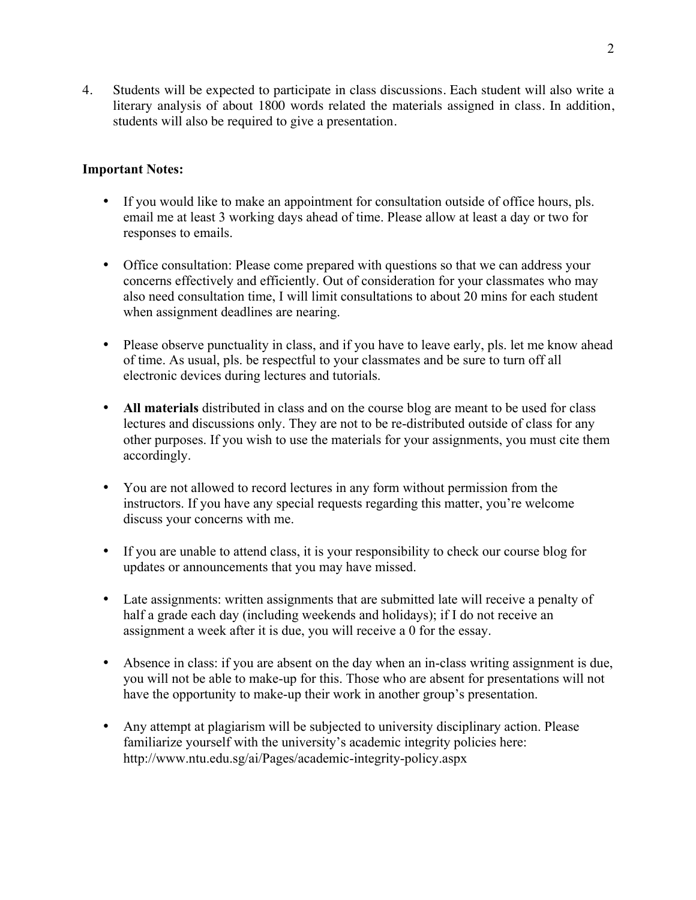4. Students will be expected to participate in class discussions. Each student will also write a literary analysis of about 1800 words related the materials assigned in class. In addition, students will also be required to give a presentation.

# **Important Notes:**

- If you would like to make an appointment for consultation outside of office hours, pls. email me at least 3 working days ahead of time. Please allow at least a day or two for responses to emails.
- Office consultation: Please come prepared with questions so that we can address your concerns effectively and efficiently. Out of consideration for your classmates who may also need consultation time, I will limit consultations to about 20 mins for each student when assignment deadlines are nearing.
- Please observe punctuality in class, and if you have to leave early, pls. let me know ahead of time. As usual, pls. be respectful to your classmates and be sure to turn off all electronic devices during lectures and tutorials.
- **All materials** distributed in class and on the course blog are meant to be used for class lectures and discussions only. They are not to be re-distributed outside of class for any other purposes. If you wish to use the materials for your assignments, you must cite them accordingly.
- You are not allowed to record lectures in any form without permission from the instructors. If you have any special requests regarding this matter, you're welcome discuss your concerns with me.
- If you are unable to attend class, it is your responsibility to check our course blog for updates or announcements that you may have missed.
- Late assignments: written assignments that are submitted late will receive a penalty of half a grade each day (including weekends and holidays); if I do not receive an assignment a week after it is due, you will receive a 0 for the essay.
- Absence in class: if you are absent on the day when an in-class writing assignment is due, you will not be able to make-up for this. Those who are absent for presentations will not have the opportunity to make-up their work in another group's presentation.
- Any attempt at plagiarism will be subjected to university disciplinary action. Please familiarize yourself with the university's academic integrity policies here: http://www.ntu.edu.sg/ai/Pages/academic-integrity-policy.aspx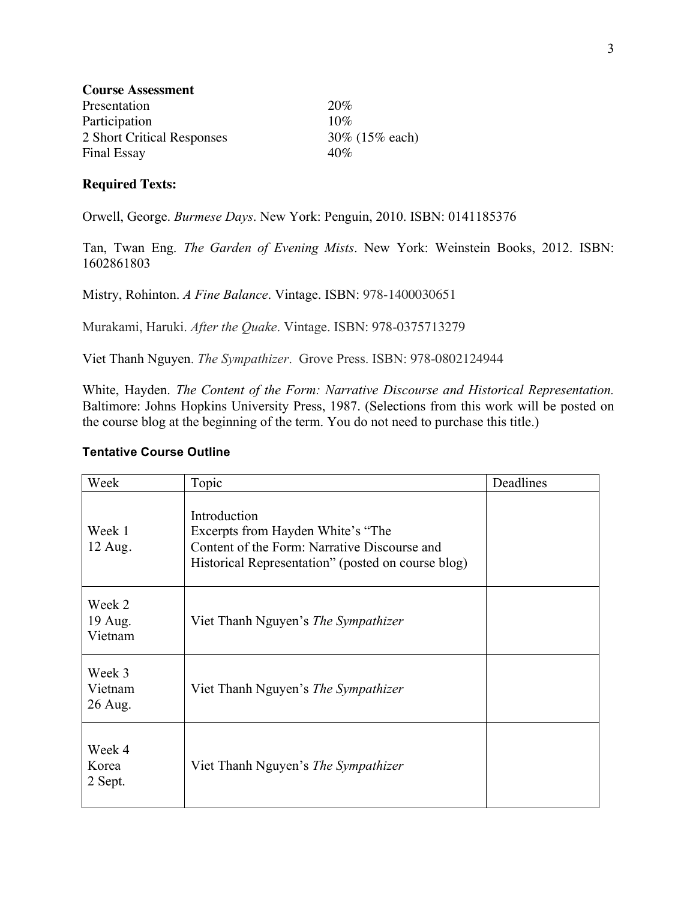| <b>Course Assessment</b>   |                  |
|----------------------------|------------------|
| Presentation               | 20%              |
| Participation              | $10\%$           |
| 2 Short Critical Responses | 30\% (15\% each) |
| <b>Final Essay</b>         | 40%              |

## **Required Texts:**

Orwell, George. *Burmese Days*. New York: Penguin, 2010. ISBN: 0141185376

Tan, Twan Eng. *The Garden of Evening Mists*. New York: Weinstein Books, 2012. ISBN: 1602861803

Mistry, Rohinton. *A Fine Balance*. Vintage. ISBN: 978-1400030651

Murakami, Haruki. *After the Quake*. Vintage. ISBN: 978-0375713279

Viet Thanh Nguyen. *The Sympathizer*. Grove Press. ISBN: 978-0802124944

White, Hayden. *The Content of the Form: Narrative Discourse and Historical Representation.* Baltimore: Johns Hopkins University Press, 1987. (Selections from this work will be posted on the course blog at the beginning of the term. You do not need to purchase this title.)

## **Tentative Course Outline**

| Week                         | Topic                                                                                                                                                   | Deadlines |
|------------------------------|---------------------------------------------------------------------------------------------------------------------------------------------------------|-----------|
| Week 1<br>12 Aug.            | Introduction<br>Excerpts from Hayden White's "The<br>Content of the Form: Narrative Discourse and<br>Historical Representation" (posted on course blog) |           |
| Week 2<br>19 Aug.<br>Vietnam | Viet Thanh Nguyen's <i>The Sympathizer</i>                                                                                                              |           |
| Week 3<br>Vietnam<br>26 Aug. | Viet Thanh Nguyen's The Sympathizer                                                                                                                     |           |
| Week 4<br>Korea<br>2 Sept.   | Viet Thanh Nguyen's The Sympathizer                                                                                                                     |           |